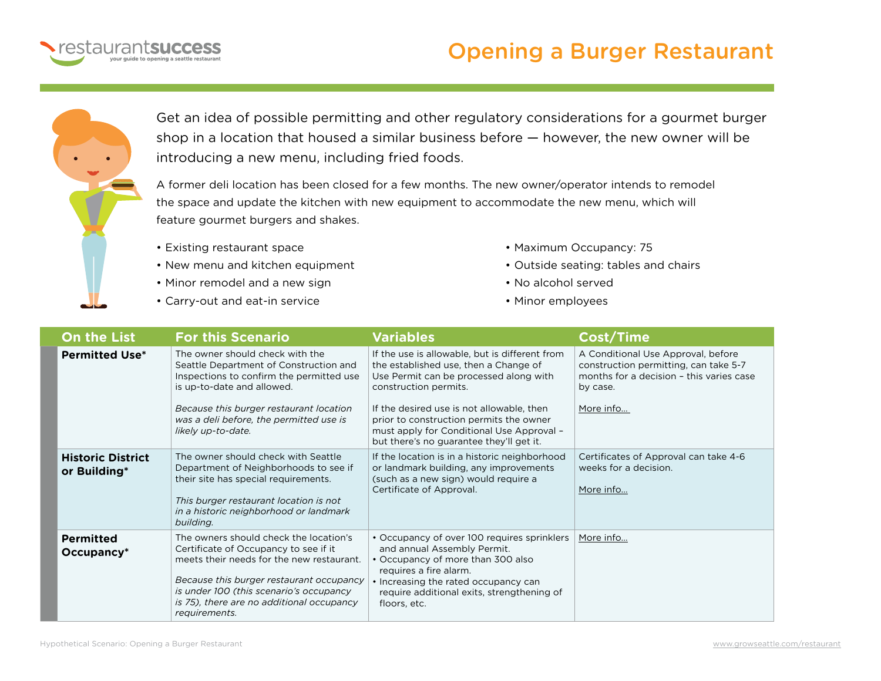

## Opening a Burger Restaurant



Get an idea of possible permitting and other regulatory considerations for a gourmet burger shop in a location that housed a similar business before — however, the new owner will be introducing a new menu, including fried foods.

A former deli location has been closed for a few months. The new owner/operator intends to remodel the space and update the kitchen with new equipment to accommodate the new menu, which will feature gourmet burgers and shakes.

- Existing restaurant space
- New menu and kitchen equipment
- Minor remodel and a new sign
- Carry-out and eat-in service
- Maximum Occupancy: 75
- Outside seating: tables and chairs
- No alcohol served
- Minor employees

| <b>On the List</b>                       | <b>For this Scenario</b>                                                                                                                                                                                                                                                          | <b>Variables</b>                                                                                                                                                                                                                                                                                                                            | <b>Cost/Time</b>                                                                                                                                 |
|------------------------------------------|-----------------------------------------------------------------------------------------------------------------------------------------------------------------------------------------------------------------------------------------------------------------------------------|---------------------------------------------------------------------------------------------------------------------------------------------------------------------------------------------------------------------------------------------------------------------------------------------------------------------------------------------|--------------------------------------------------------------------------------------------------------------------------------------------------|
| <b>Permitted Use*</b>                    | The owner should check with the<br>Seattle Department of Construction and<br>Inspections to confirm the permitted use<br>is up-to-date and allowed.<br>Because this burger restaurant location<br>was a deli before, the permitted use is<br>likely up-to-date.                   | If the use is allowable, but is different from<br>the established use, then a Change of<br>Use Permit can be processed along with<br>construction permits.<br>If the desired use is not allowable, then<br>prior to construction permits the owner<br>must apply for Conditional Use Approval -<br>but there's no guarantee they'll get it. | A Conditional Use Approval, before<br>construction permitting, can take 5-7<br>months for a decision - this varies case<br>by case.<br>More info |
| <b>Historic District</b><br>or Building* | The owner should check with Seattle<br>Department of Neighborhoods to see if<br>their site has special requirements.<br>This burger restaurant location is not<br>in a historic neighborhood or landmark<br>building.                                                             | If the location is in a historic neighborhood<br>or landmark building, any improvements<br>(such as a new sign) would require a<br>Certificate of Approval.                                                                                                                                                                                 | Certificates of Approval can take 4-6<br>weeks for a decision.<br>More info                                                                      |
| <b>Permitted</b><br>$Occupancy*$         | The owners should check the location's<br>Certificate of Occupancy to see if it<br>meets their needs for the new restaurant.<br>Because this burger restaurant occupancy<br>is under 100 (this scenario's occupancy<br>is 75), there are no additional occupancy<br>requirements. | • Occupancy of over 100 requires sprinklers<br>and annual Assembly Permit.<br>• Occupancy of more than 300 also<br>requires a fire alarm.<br>• Increasing the rated occupancy can<br>require additional exits, strengthening of<br>floors, etc.                                                                                             | More info                                                                                                                                        |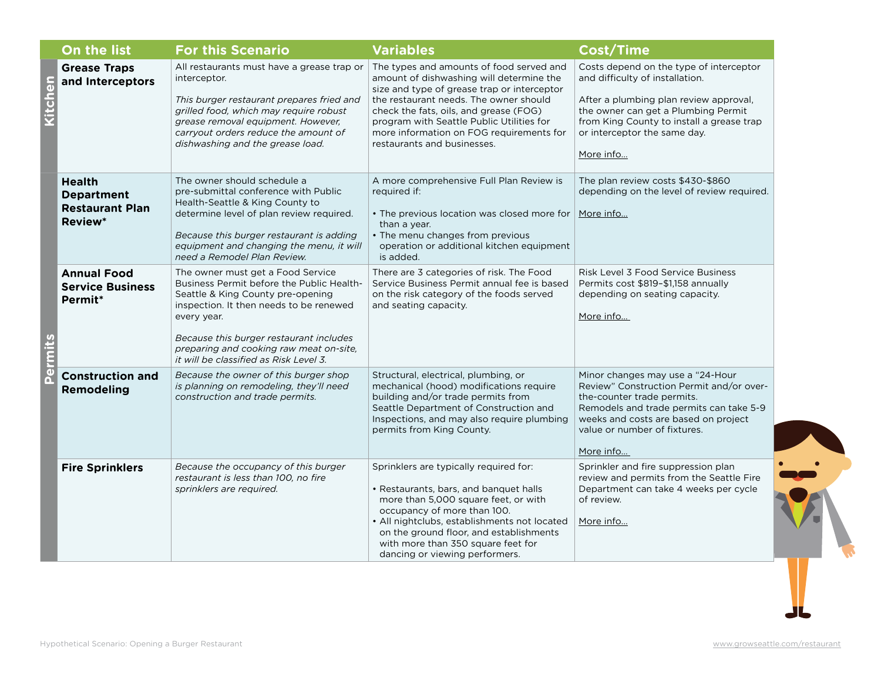|                | On the list                                                                    | <b>For this Scenario</b>                                                                                                                                                                                                                                                                                      | <b>Variables</b>                                                                                                                                                                                                                                                                                                                                | <b>Cost/Time</b>                                                                                                                                                                                                                                      |
|----------------|--------------------------------------------------------------------------------|---------------------------------------------------------------------------------------------------------------------------------------------------------------------------------------------------------------------------------------------------------------------------------------------------------------|-------------------------------------------------------------------------------------------------------------------------------------------------------------------------------------------------------------------------------------------------------------------------------------------------------------------------------------------------|-------------------------------------------------------------------------------------------------------------------------------------------------------------------------------------------------------------------------------------------------------|
| chen           | <b>Grease Traps</b><br>and Interceptors                                        | All restaurants must have a grease trap or<br>interceptor.<br>This burger restaurant prepares fried and<br>grilled food, which may require robust<br>grease removal equipment. However,<br>carryout orders reduce the amount of<br>dishwashing and the grease load.                                           | The types and amounts of food served and<br>amount of dishwashing will determine the<br>size and type of grease trap or interceptor<br>the restaurant needs. The owner should<br>check the fats, oils, and grease (FOG)<br>program with Seattle Public Utilities for<br>more information on FOG requirements for<br>restaurants and businesses. | Costs depend on the type of interceptor<br>and difficulty of installation.<br>After a plumbing plan review approval,<br>the owner can get a Plumbing Permit<br>from King County to install a grease trap<br>or interceptor the same day.<br>More info |
| $\overline{a}$ | <b>Health</b><br><b>Department</b><br><b>Restaurant Plan</b><br><b>Review*</b> | The owner should schedule a<br>pre-submittal conference with Public<br>Health-Seattle & King County to<br>determine level of plan review required.<br>Because this burger restaurant is adding<br>equipment and changing the menu, it will<br>need a Remodel Plan Review.                                     | A more comprehensive Full Plan Review is<br>required if:<br>• The previous location was closed more for<br>than a year.<br>• The menu changes from previous<br>operation or additional kitchen equipment<br>is added.                                                                                                                           | The plan review costs \$430-\$860<br>depending on the level of review required.<br>More info                                                                                                                                                          |
|                | <b>Annual Food</b><br><b>Service Business</b><br>Permit*                       | The owner must get a Food Service<br>Business Permit before the Public Health-<br>Seattle & King County pre-opening<br>inspection. It then needs to be renewed<br>every year.<br>Because this burger restaurant includes<br>preparing and cooking raw meat on-site,<br>it will be classified as Risk Level 3. | There are 3 categories of risk. The Food<br>Service Business Permit annual fee is based<br>on the risk category of the foods served<br>and seating capacity.                                                                                                                                                                                    | <b>Risk Level 3 Food Service Business</b><br>Permits cost \$819-\$1,158 annually<br>depending on seating capacity.<br>More info                                                                                                                       |
|                | <b>Construction and</b><br><b>Remodeling</b>                                   | Because the owner of this burger shop<br>is planning on remodeling, they'll need<br>construction and trade permits.                                                                                                                                                                                           | Structural, electrical, plumbing, or<br>mechanical (hood) modifications require<br>building and/or trade permits from<br>Seattle Department of Construction and<br>Inspections, and may also require plumbing<br>permits from King County.                                                                                                      | Minor changes may use a "24-Hour<br>Review" Construction Permit and/or over-<br>the-counter trade permits.<br>Remodels and trade permits can take 5-9<br>weeks and costs are based on project<br>value or number of fixtures.<br>More info            |
|                | <b>Fire Sprinklers</b>                                                         | Because the occupancy of this burger<br>restaurant is less than 100, no fire<br>sprinklers are required.                                                                                                                                                                                                      | Sprinklers are typically required for:<br>• Restaurants, bars, and banquet halls<br>more than 5,000 square feet, or with<br>occupancy of more than 100.<br>• All nightclubs, establishments not located<br>on the ground floor, and establishments<br>with more than 350 square feet for<br>dancing or viewing performers.                      | Sprinkler and fire suppression plan<br>review and permits from the Seattle Fire<br>Department can take 4 weeks per cycle<br>of review.<br>More info                                                                                                   |